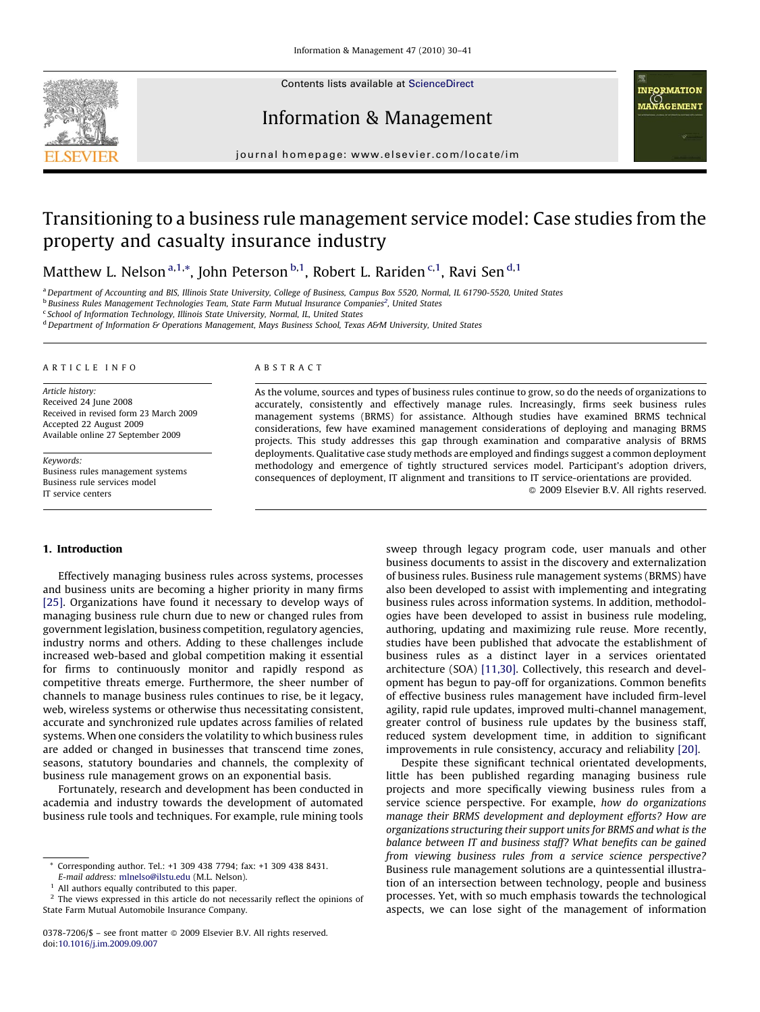

Contents lists available at [ScienceDirect](http://www.sciencedirect.com/science/journal/03787206)

### Information & Management



journal homepage: www.elsevier.com/locate/im

## Transitioning to a business rule management service model: Case studies from the property and casualty insurance industry

Matthew L. Nelson<sup>a,1,\*</sup>, John Peterson <sup>b,1</sup>, Robert L. Rariden <sup>c,1</sup>, Ravi Sen <sup>d,1</sup>

a Department of Accounting and BIS, Illinois State University, College of Business, Campus Box 5520, Normal, IL 61790-5520, United States

 $^{\rm b}$  Business Rules Management Technologies Team, State Farm Mutual Insurance Companies<sup>2</sup>, United States

<sup>c</sup> School of Information Technology, Illinois State University, Normal, IL, United States

 $d$  Department of Information & Operations Management, Mays Business School, Texas A&M University, United States

#### ARTICLE INFO

Article history: Received 24 June 2008 Received in revised form 23 March 2009 Accepted 22 August 2009 Available online 27 September 2009

Keywords: Business rules management systems Business rule services model IT service centers

#### ABSTRACT

As the volume, sources and types of business rules continue to grow, so do the needs of organizations to accurately, consistently and effectively manage rules. Increasingly, firms seek business rules management systems (BRMS) for assistance. Although studies have examined BRMS technical considerations, few have examined management considerations of deploying and managing BRMS projects. This study addresses this gap through examination and comparative analysis of BRMS deployments. Qualitative case study methods are employed and findings suggest a common deployment methodology and emergence of tightly structured services model. Participant's adoption drivers, consequences of deployment, IT alignment and transitions to IT service-orientations are provided.

 $\odot$  2009 Elsevier B.V. All rights reserved.

#### 1. Introduction

Effectively managing business rules across systems, processes and business units are becoming a higher priority in many firms [\[25\]](#page--1-0). Organizations have found it necessary to develop ways of managing business rule churn due to new or changed rules from government legislation, business competition, regulatory agencies, industry norms and others. Adding to these challenges include increased web-based and global competition making it essential for firms to continuously monitor and rapidly respond as competitive threats emerge. Furthermore, the sheer number of channels to manage business rules continues to rise, be it legacy, web, wireless systems or otherwise thus necessitating consistent, accurate and synchronized rule updates across families of related systems. When one considers the volatility to which business rules are added or changed in businesses that transcend time zones, seasons, statutory boundaries and channels, the complexity of business rule management grows on an exponential basis.

Fortunately, research and development has been conducted in academia and industry towards the development of automated business rule tools and techniques. For example, rule mining tools sweep through legacy program code, user manuals and other business documents to assist in the discovery and externalization of business rules. Business rule management systems (BRMS) have also been developed to assist with implementing and integrating business rules across information systems. In addition, methodologies have been developed to assist in business rule modeling, authoring, updating and maximizing rule reuse. More recently, studies have been published that advocate the establishment of business rules as a distinct layer in a services orientated architecture (SOA) [\[11,30\]](#page--1-0). Collectively, this research and development has begun to pay-off for organizations. Common benefits of effective business rules management have included firm-level agility, rapid rule updates, improved multi-channel management, greater control of business rule updates by the business staff, reduced system development time, in addition to significant improvements in rule consistency, accuracy and reliability [\[20\]](#page--1-0).

Despite these significant technical orientated developments, little has been published regarding managing business rule projects and more specifically viewing business rules from a service science perspective. For example, how do organizations manage their BRMS development and deployment efforts? How are organizations structuring their support units for BRMS and what is the balance between IT and business staff? What benefits can be gained from viewing business rules from a service science perspective? Business rule management solutions are a quintessential illustration of an intersection between technology, people and business processes. Yet, with so much emphasis towards the technological aspects, we can lose sight of the management of information

<sup>\*</sup> Corresponding author. Tel.: +1 309 438 7794; fax: +1 309 438 8431.

E-mail address: [mlnelso@ilstu.edu](mailto:mlnelso@ilstu.edu) (M.L. Nelson).

 $<sup>1</sup>$  All authors equally contributed to this paper.</sup>

<sup>&</sup>lt;sup>2</sup> The views expressed in this article do not necessarily reflect the opinions of State Farm Mutual Automobile Insurance Company.

<sup>0378-7206/\$ –</sup> see front matter © 2009 Elsevier B.V. All rights reserved. doi:[10.1016/j.im.2009.09.007](http://dx.doi.org/10.1016/j.im.2009.09.007)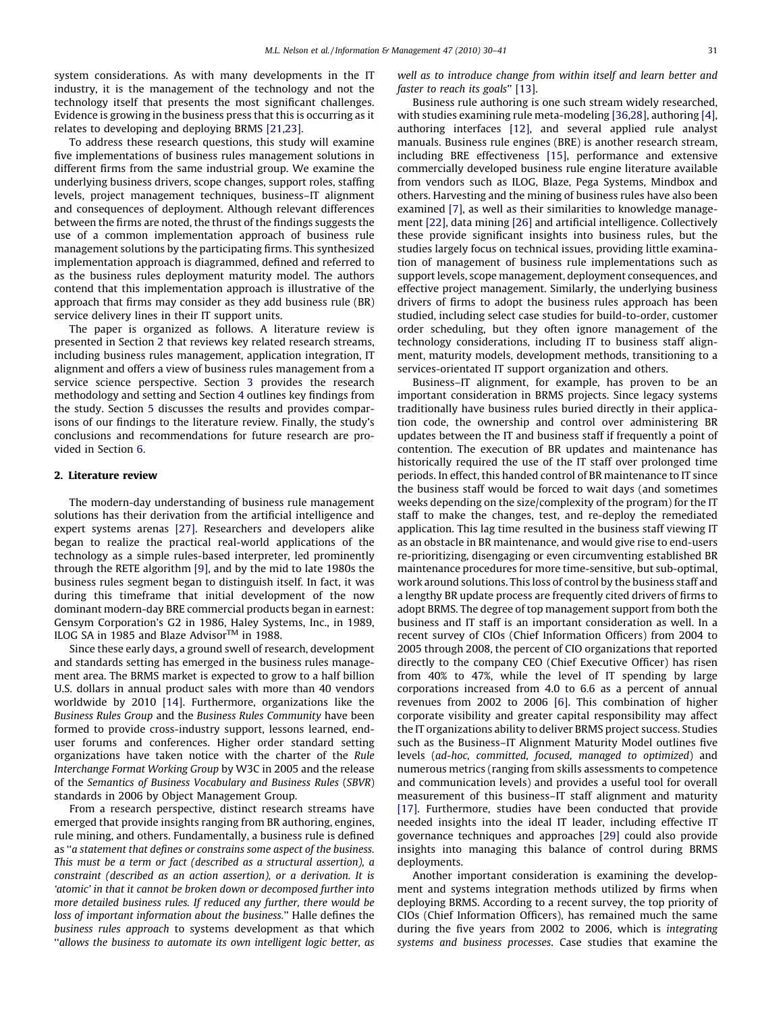system considerations. As with many developments in the IT industry, it is the management of the technology and not the technology itself that presents the most significant challenges. Evidence is growing in the business press that this is occurring as it relates to developing and deploying BRMS [\[21,23\]](#page--1-0).

To address these research questions, this study will examine five implementations of business rules management solutions in different firms from the same industrial group. We examine the underlying business drivers, scope changes, support roles, staffing levels, project management techniques, business–IT alignment and consequences of deployment. Although relevant differences between the firms are noted, the thrust of the findings suggests the use of a common implementation approach of business rule management solutions by the participating firms. This synthesized implementation approach is diagrammed, defined and referred to as the business rules deployment maturity model. The authors contend that this implementation approach is illustrative of the approach that firms may consider as they add business rule (BR) service delivery lines in their IT support units.

The paper is organized as follows. A literature review is presented in Section 2 that reviews key related research streams, including business rules management, application integration, IT alignment and offers a view of business rules management from a service science perspective. Section [3](#page--1-0) provides the research methodology and setting and Section [4](#page--1-0) outlines key findings from the study. Section [5](#page--1-0) discusses the results and provides comparisons of our findings to the literature review. Finally, the study's conclusions and recommendations for future research are provided in Section [6](#page--1-0).

#### 2. Literature review

The modern-day understanding of business rule management solutions has their derivation from the artificial intelligence and expert systems arenas [\[27\]](#page--1-0). Researchers and developers alike began to realize the practical real-world applications of the technology as a simple rules-based interpreter, led prominently through the RETE algorithm [\[9\]](#page--1-0), and by the mid to late 1980s the business rules segment began to distinguish itself. In fact, it was during this timeframe that initial development of the now dominant modern-day BRE commercial products began in earnest: Gensym Corporation's G2 in 1986, Haley Systems, Inc., in 1989, ILOG SA in 1985 and Blaze Advisor<sup>TM</sup> in 1988.

Since these early days, a ground swell of research, development and standards setting has emerged in the business rules management area. The BRMS market is expected to grow to a half billion U.S. dollars in annual product sales with more than 40 vendors worldwide by 2010 [\[14\]](#page--1-0). Furthermore, organizations like the Business Rules Group and the Business Rules Community have been formed to provide cross-industry support, lessons learned, enduser forums and conferences. Higher order standard setting organizations have taken notice with the charter of the Rule Interchange Format Working Group by W3C in 2005 and the release of the Semantics of Business Vocabulary and Business Rules (SBVR) standards in 2006 by Object Management Group.

From a research perspective, distinct research streams have emerged that provide insights ranging from BR authoring, engines, rule mining, and others. Fundamentally, a business rule is defined as ''a statement that defines or constrains some aspect of the business. This must be a term or fact (described as a structural assertion), a constraint (described as an action assertion), or a derivation. It is 'atomic' in that it cannot be broken down or decomposed further into more detailed business rules. If reduced any further, there would be loss of important information about the business.'' Halle defines the business rules approach to systems development as that which ''allows the business to automate its own intelligent logic better, as

well as to introduce change from within itself and learn better and faster to reach its goals'' [\[13\].](#page--1-0)

Business rule authoring is one such stream widely researched, with studies examining rule meta-modeling [\[36,28\],](#page--1-0) authoring [\[4\],](#page--1-0) authoring interfaces [\[12\]](#page--1-0), and several applied rule analyst manuals. Business rule engines (BRE) is another research stream, including BRE effectiveness [\[15\]](#page--1-0), performance and extensive commercially developed business rule engine literature available from vendors such as ILOG, Blaze, Pega Systems, Mindbox and others. Harvesting and the mining of business rules have also been examined [\[7\],](#page--1-0) as well as their similarities to knowledge management [\[22\]](#page--1-0), data mining [\[26\]](#page--1-0) and artificial intelligence. Collectively these provide significant insights into business rules, but the studies largely focus on technical issues, providing little examination of management of business rule implementations such as support levels, scope management, deployment consequences, and effective project management. Similarly, the underlying business drivers of firms to adopt the business rules approach has been studied, including select case studies for build-to-order, customer order scheduling, but they often ignore management of the technology considerations, including IT to business staff alignment, maturity models, development methods, transitioning to a services-orientated IT support organization and others.

Business–IT alignment, for example, has proven to be an important consideration in BRMS projects. Since legacy systems traditionally have business rules buried directly in their application code, the ownership and control over administering BR updates between the IT and business staff if frequently a point of contention. The execution of BR updates and maintenance has historically required the use of the IT staff over prolonged time periods. In effect, this handed control of BR maintenance to IT since the business staff would be forced to wait days (and sometimes weeks depending on the size/complexity of the program) for the IT staff to make the changes, test, and re-deploy the remediated application. This lag time resulted in the business staff viewing IT as an obstacle in BR maintenance, and would give rise to end-users re-prioritizing, disengaging or even circumventing established BR maintenance procedures for more time-sensitive, but sub-optimal, work around solutions. This loss of control by the business staff and a lengthy BR update process are frequently cited drivers of firms to adopt BRMS. The degree of top management support from both the business and IT staff is an important consideration as well. In a recent survey of CIOs (Chief Information Officers) from 2004 to 2005 through 2008, the percent of CIO organizations that reported directly to the company CEO (Chief Executive Officer) has risen from 40% to 47%, while the level of IT spending by large corporations increased from 4.0 to 6.6 as a percent of annual revenues from 2002 to 2006 [\[6\]](#page--1-0). This combination of higher corporate visibility and greater capital responsibility may affect the IT organizations ability to deliver BRMS project success. Studies such as the Business–IT Alignment Maturity Model outlines five levels (ad-hoc, committed, focused, managed to optimized) and numerous metrics (ranging from skills assessments to competence and communication levels) and provides a useful tool for overall measurement of this business–IT staff alignment and maturity [\[17\]](#page--1-0). Furthermore, studies have been conducted that provide needed insights into the ideal IT leader, including effective IT governance techniques and approaches [\[29\]](#page--1-0) could also provide insights into managing this balance of control during BRMS deployments.

Another important consideration is examining the development and systems integration methods utilized by firms when deploying BRMS. According to a recent survey, the top priority of CIOs (Chief Information Officers), has remained much the same during the five years from 2002 to 2006, which is integrating systems and business processes. Case studies that examine the